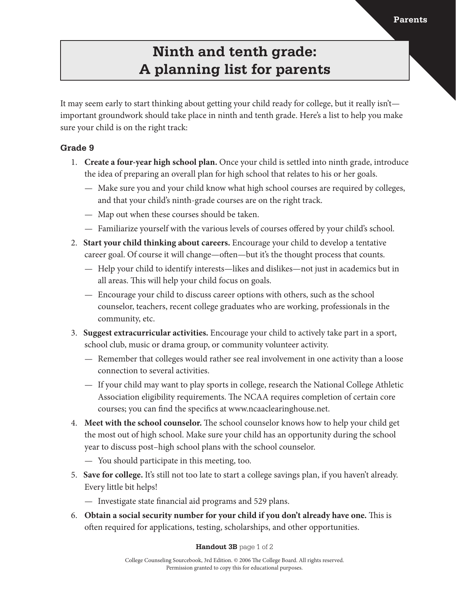## **Ninth and tenth grade: A planning list for parents**

It may seem early to start thinking about getting your child ready for college, but it really isn't important groundwork should take place in ninth and tenth grade. Here's a list to help you make sure your child is on the right track:

### **Grade 9**

- 1. **Create a four-year high school plan.** Once your child is settled into ninth grade, introduce the idea of preparing an overall plan for high school that relates to his or her goals.
	- Make sure you and your child know what high school courses are required by colleges, and that your child's ninth-grade courses are on the right track.
	- Map out when these courses should be taken.
	- Familiarize yourself with the various levels of courses offered by your child's school.
- 2. **Start your child thinking about careers.** Encourage your child to develop a tentative career goal. Of course it will change—often—but it's the thought process that counts.
	- Help your child to identify interests—likes and dislikes—not just in academics but in all areas. This will help your child focus on goals.
	- Encourage your child to discuss career options with others, such as the school counselor, teachers, recent college graduates who are working, professionals in the community, etc.
- 3. **Suggest extracurricular activities.** Encourage your child to actively take part in a sport, school club, music or drama group, or community volunteer activity.
	- Remember that colleges would rather see real involvement in one activity than a loose connection to several activities.
	- If your child may want to play sports in college, research the National College Athletic Association eligibility requirements. The NCAA requires completion of certain core courses; you can find the specifics at www.ncaaclearinghouse.net.
- 4. **Meet with the school counselor.** The school counselor knows how to help your child get the most out of high school. Make sure your child has an opportunity during the school year to discuss post–high school plans with the school counselor.
	- You should participate in this meeting, too.
- 5. **Save for college.** It's still not too late to start a college savings plan, if you haven't already. Every little bit helps!
	- Investigate state financial aid programs and 529 plans.
- 6. **Obtain a social security number for your child if you don't already have one.** This is often required for applications, testing, scholarships, and other opportunities.

#### **Handout 3B** page 1 of 2